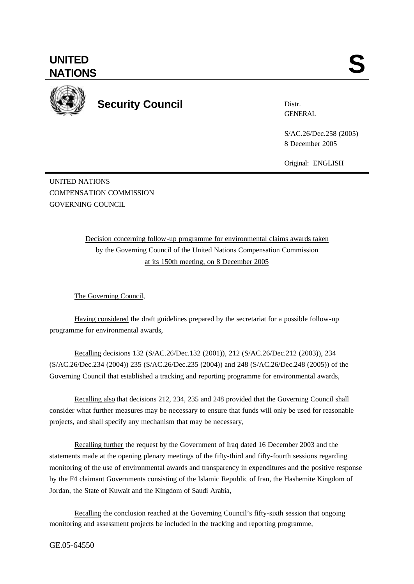

**Security Council**

Distr. GENERAL

S/AC.26/Dec.258 (2005) 8 December 2005

Original: ENGLISH

UNITED NATIONS COMPENSATION COMMISSION GOVERNING COUNCIL

> Decision concerning follow-up programme for environmental claims awards taken by the Governing Council of the United Nations Compensation Commission at its 150th meeting, on 8 December 2005

The Governing Council,

Having considered the draft guidelines prepared by the secretariat for a possible follow-up programme for environmental awards,

Recalling decisions 132 (S/AC.26/Dec.132 (2001)), 212 (S/AC.26/Dec.212 (2003)), 234 (S/AC.26/Dec.234 (2004)) 235 (S/AC.26/Dec.235 (2004)) and 248 (S/AC.26/Dec.248 (2005)) of the Governing Council that established a tracking and reporting programme for environmental awards,

Recalling also that decisions 212, 234, 235 and 248 provided that the Governing Council shall consider what further measures may be necessary to ensure that funds will only be used for reasonable projects, and shall specify any mechanism that may be necessary,

Recalling further the request by the Government of Iraq dated 16 December 2003 and the statements made at the opening plenary meetings of the fifty-third and fifty-fourth sessions regarding monitoring of the use of environmental awards and transparency in expenditures and the positive response by the F4 claimant Governments consisting of the Islamic Republic of Iran, the Hashemite Kingdom of Jordan, the State of Kuwait and the Kingdom of Saudi Arabia,

Recalling the conclusion reached at the Governing Council's fifty-sixth session that ongoing monitoring and assessment projects be included in the tracking and reporting programme,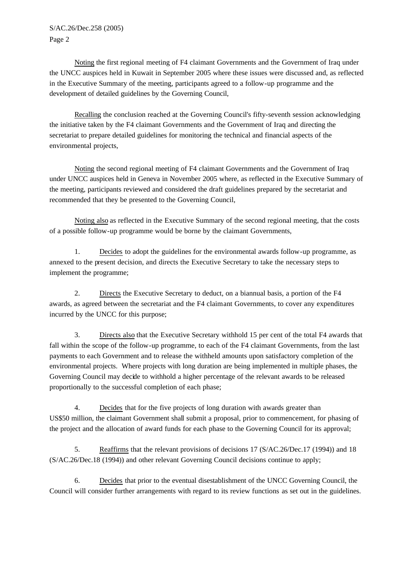Noting the first regional meeting of F4 claimant Governments and the Government of Iraq under the UNCC auspices held in Kuwait in September 2005 where these issues were discussed and, as reflected in the Executive Summary of the meeting, participants agreed to a follow-up programme and the development of detailed guidelines by the Governing Council,

Recalling the conclusion reached at the Governing Council's fifty-seventh session acknowledging the initiative taken by the F4 claimant Governments and the Government of Iraq and directing the secretariat to prepare detailed guidelines for monitoring the technical and financial aspects of the environmental projects,

Noting the second regional meeting of F4 claimant Governments and the Government of Iraq under UNCC auspices held in Geneva in November 2005 where, as reflected in the Executive Summary of the meeting, participants reviewed and considered the draft guidelines prepared by the secretariat and recommended that they be presented to the Governing Council,

Noting also as reflected in the Executive Summary of the second regional meeting, that the costs of a possible follow-up programme would be borne by the claimant Governments,

1. Decides to adopt the guidelines for the environmental awards follow-up programme, as annexed to the present decision, and directs the Executive Secretary to take the necessary steps to implement the programme;

2. Directs the Executive Secretary to deduct, on a biannual basis, a portion of the F4 awards, as agreed between the secretariat and the F4 claimant Governments, to cover any expenditures incurred by the UNCC for this purpose;

3. Directs also that the Executive Secretary withhold 15 per cent of the total F4 awards that fall within the scope of the follow-up programme, to each of the F4 claimant Governments, from the last payments to each Government and to release the withheld amounts upon satisfactory completion of the environmental projects. Where projects with long duration are being implemented in multiple phases, the Governing Council may decide to withhold a higher percentage of the relevant awards to be released proportionally to the successful completion of each phase;

4. Decides that for the five projects of long duration with awards greater than US\$50 million, the claimant Government shall submit a proposal, prior to commencement, for phasing of the project and the allocation of award funds for each phase to the Governing Council for its approval;

5. Reaffirms that the relevant provisions of decisions 17 (S/AC.26/Dec.17 (1994)) and 18 (S/AC.26/Dec.18 (1994)) and other relevant Governing Council decisions continue to apply;

6. Decides that prior to the eventual disestablishment of the UNCC Governing Council, the Council will consider further arrangements with regard to its review functions as set out in the guidelines.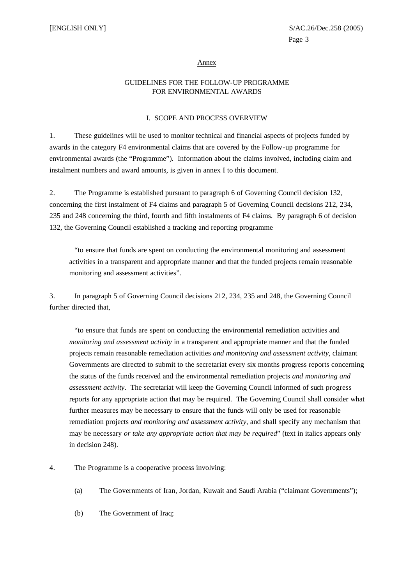Annex

## GUIDELINES FOR THE FOLLOW-UP PROGRAMME FOR ENVIRONMENTAL AWARDS

#### I. SCOPE AND PROCESS OVERVIEW

1. These guidelines will be used to monitor technical and financial aspects of projects funded by awards in the category F4 environmental claims that are covered by the Follow-up programme for environmental awards (the "Programme"). Information about the claims involved, including claim and instalment numbers and award amounts, is given in annex I to this document.

2. The Programme is established pursuant to paragraph 6 of Governing Council decision 132, concerning the first instalment of F4 claims and paragraph 5 of Governing Council decisions 212, 234, 235 and 248 concerning the third, fourth and fifth instalments of F4 claims. By paragraph 6 of decision 132, the Governing Council established a tracking and reporting programme

"to ensure that funds are spent on conducting the environmental monitoring and assessment activities in a transparent and appropriate manner and that the funded projects remain reasonable monitoring and assessment activities".

3. In paragraph 5 of Governing Council decisions 212, 234, 235 and 248, the Governing Council further directed that,

"to ensure that funds are spent on conducting the environmental remediation activities and *monitoring and assessment activity* in a transparent and appropriate manner and that the funded projects remain reasonable remediation activities *and monitoring and assessment activity*, claimant Governments are directed to submit to the secretariat every six months progress reports concerning the status of the funds received and the environmental remediation projects *and monitoring and assessment activity*. The secretariat will keep the Governing Council informed of such progress reports for any appropriate action that may be required. The Governing Council shall consider what further measures may be necessary to ensure that the funds will only be used for reasonable remediation projects *and monitoring and assessment activity*, and shall specify any mechanism that may be necessary *or take any appropriate action that may be required*" (text in italics appears only in decision 248).

- 4. The Programme is a cooperative process involving:
	- (a) The Governments of Iran, Jordan, Kuwait and Saudi Arabia ("claimant Governments");
	- (b) The Government of Iraq;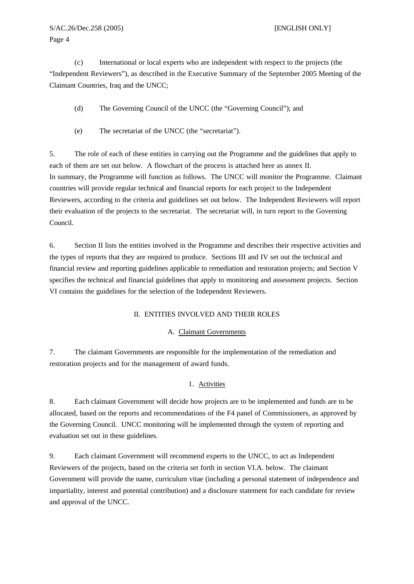S/AC.26/Dec.258 (2005) [ENGLISH ONLY] Page 4

(c) International or local experts who are independent with respect to the projects (the "Independent Reviewers"), as described in the Executive Summary of the September 2005 Meeting of the Claimant Countries, Iraq and the UNCC;

(d) The Governing Council of the UNCC (the "Governing Council"); and

(e) The secretariat of the UNCC (the "secretariat").

5. The role of each of these entities in carrying out the Programme and the guidelines that apply to each of them are set out below. A flowchart of the process is attached here as annex II. In summary, the Programme will function as follows. The UNCC will monitor the Programme. Claimant countries will provide regular technical and financial reports for each project to the Independent Reviewers, according to the criteria and guidelines set out below. The Independent Reviewers will report their evaluation of the projects to the secretariat. The secretariat will, in turn report to the Governing Council.

6. Section II lists the entities involved in the Programme and describes their respective activities and the types of reports that they are required to produce. Sections III and IV set out the technical and financial review and reporting guidelines applicable to remediation and restoration projects; and Section V specifies the technical and financial guidelines that apply to monitoring and assessment projects. Section VI contains the guidelines for the selection of the Independent Reviewers.

### II. ENTITIES INVOLVED AND THEIR ROLES

#### A. Claimant Governments

7. The claimant Governments are responsible for the implementation of the remediation and restoration projects and for the management of award funds.

#### 1. Activities

8. Each claimant Government will decide how projects are to be implemented and funds are to be allocated, based on the reports and recommendations of the F4 panel of Commissioners, as approved by the Governing Council. UNCC monitoring will be implemented through the system of reporting and evaluation set out in these guidelines.

9. Each claimant Government will recommend experts to the UNCC, to act as Independent Reviewers of the projects, based on the criteria set forth in section VI.A. below. The claimant Government will provide the name, curriculum vitae (including a personal statement of independence and impartiality, interest and potential contribution) and a disclosure statement for each candidate for review and approval of the UNCC.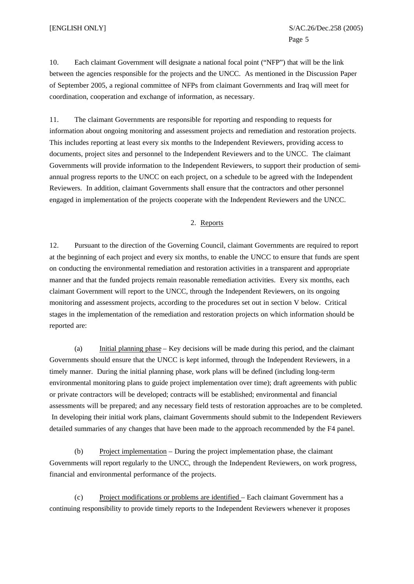10. Each claimant Government will designate a national focal point ("NFP") that will be the link between the agencies responsible for the projects and the UNCC. As mentioned in the Discussion Paper of September 2005, a regional committee of NFPs from claimant Governments and Iraq will meet for coordination, cooperation and exchange of information, as necessary.

11. The claimant Governments are responsible for reporting and responding to requests for information about ongoing monitoring and assessment projects and remediation and restoration projects. This includes reporting at least every six months to the Independent Reviewers, providing access to documents, project sites and personnel to the Independent Reviewers and to the UNCC. The claimant Governments will provide information to the Independent Reviewers, to support their production of semiannual progress reports to the UNCC on each project, on a schedule to be agreed with the Independent Reviewers. In addition, claimant Governments shall ensure that the contractors and other personnel engaged in implementation of the projects cooperate with the Independent Reviewers and the UNCC.

#### 2. Reports

12. Pursuant to the direction of the Governing Council, claimant Governments are required to report at the beginning of each project and every six months, to enable the UNCC to ensure that funds are spent on conducting the environmental remediation and restoration activities in a transparent and appropriate manner and that the funded projects remain reasonable remediation activities. Every six months, each claimant Government will report to the UNCC, through the Independent Reviewers, on its ongoing monitoring and assessment projects, according to the procedures set out in section V below. Critical stages in the implementation of the remediation and restoration projects on which information should be reported are:

(a) Initial planning phase – Key decisions will be made during this period, and the claimant Governments should ensure that the UNCC is kept informed, through the Independent Reviewers, in a timely manner. During the initial planning phase, work plans will be defined (including long-term environmental monitoring plans to guide project implementation over time); draft agreements with public or private contractors will be developed; contracts will be established; environmental and financial assessments will be prepared; and any necessary field tests of restoration approaches are to be completed. In developing their initial work plans, claimant Governments should submit to the Independent Reviewers detailed summaries of any changes that have been made to the approach recommended by the F4 panel.

(b) Project implementation – During the project implementation phase, the claimant Governments will report regularly to the UNCC, through the Independent Reviewers, on work progress, financial and environmental performance of the projects.

(c) Project modifications or problems are identified – Each claimant Government has a continuing responsibility to provide timely reports to the Independent Reviewers whenever it proposes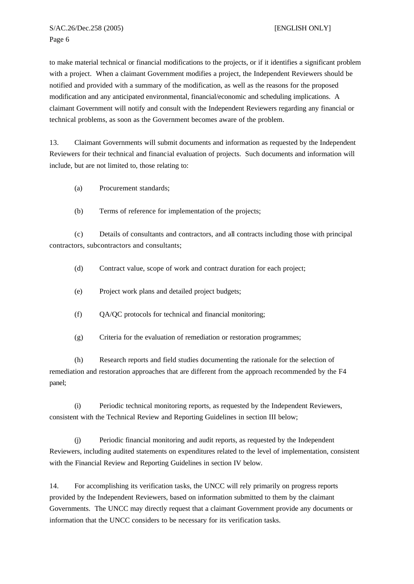to make material technical or financial modifications to the projects, or if it identifies a significant problem with a project. When a claimant Government modifies a project, the Independent Reviewers should be notified and provided with a summary of the modification, as well as the reasons for the proposed modification and any anticipated environmental, financial/economic and scheduling implications. A claimant Government will notify and consult with the Independent Reviewers regarding any financial or technical problems, as soon as the Government becomes aware of the problem.

13. Claimant Governments will submit documents and information as requested by the Independent Reviewers for their technical and financial evaluation of projects. Such documents and information will include, but are not limited to, those relating to:

- (a) Procurement standards;
- (b) Terms of reference for implementation of the projects;

(c) Details of consultants and contractors, and all contracts including those with principal contractors, subcontractors and consultants;

- (d) Contract value, scope of work and contract duration for each project;
- (e) Project work plans and detailed project budgets;
- (f) QA/QC protocols for technical and financial monitoring;
- (g) Criteria for the evaluation of remediation or restoration programmes;

(h) Research reports and field studies documenting the rationale for the selection of remediation and restoration approaches that are different from the approach recommended by the F4 panel;

(i) Periodic technical monitoring reports, as requested by the Independent Reviewers, consistent with the Technical Review and Reporting Guidelines in section III below;

(j) Periodic financial monitoring and audit reports, as requested by the Independent Reviewers, including audited statements on expenditures related to the level of implementation, consistent with the Financial Review and Reporting Guidelines in section IV below.

14. For accomplishing its verification tasks, the UNCC will rely primarily on progress reports provided by the Independent Reviewers, based on information submitted to them by the claimant Governments. The UNCC may directly request that a claimant Government provide any documents or information that the UNCC considers to be necessary for its verification tasks.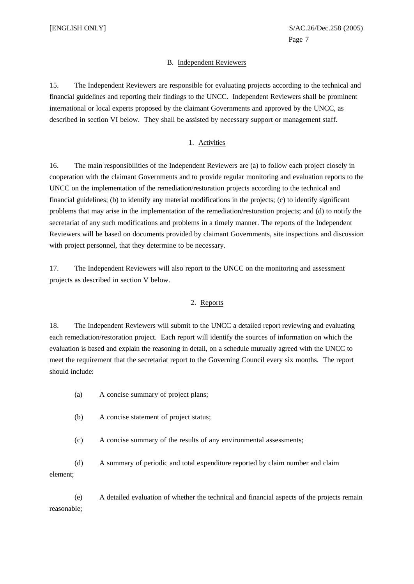## B. Independent Reviewers

15. The Independent Reviewers are responsible for evaluating projects according to the technical and financial guidelines and reporting their findings to the UNCC. Independent Reviewers shall be prominent international or local experts proposed by the claimant Governments and approved by the UNCC, as described in section VI below. They shall be assisted by necessary support or management staff.

# 1. Activities

16. The main responsibilities of the Independent Reviewers are (a) to follow each project closely in cooperation with the claimant Governments and to provide regular monitoring and evaluation reports to the UNCC on the implementation of the remediation/restoration projects according to the technical and financial guidelines; (b) to identify any material modifications in the projects; (c) to identify significant problems that may arise in the implementation of the remediation/restoration projects; and (d) to notify the secretariat of any such modifications and problems in a timely manner. The reports of the Independent Reviewers will be based on documents provided by claimant Governments, site inspections and discussion with project personnel, that they determine to be necessary.

17. The Independent Reviewers will also report to the UNCC on the monitoring and assessment projects as described in section V below.

#### 2. Reports

18. The Independent Reviewers will submit to the UNCC a detailed report reviewing and evaluating each remediation/restoration project. Each report will identify the sources of information on which the evaluation is based and explain the reasoning in detail, on a schedule mutually agreed with the UNCC to meet the requirement that the secretariat report to the Governing Council every six months. The report should include:

- (a) A concise summary of project plans;
- (b) A concise statement of project status;
- (c) A concise summary of the results of any environmental assessments;

(d) A summary of periodic and total expenditure reported by claim number and claim element;

(e) A detailed evaluation of whether the technical and financial aspects of the projects remain reasonable;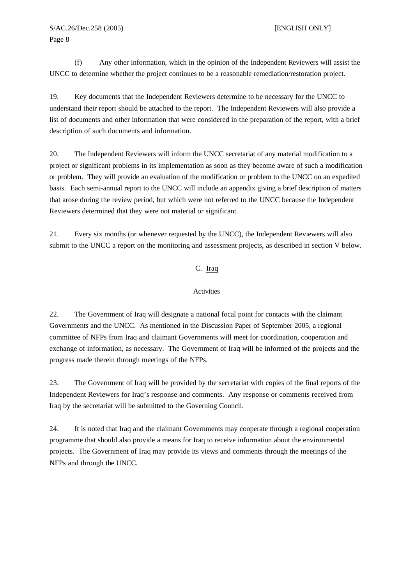(f) Any other information, which in the opinion of the Independent Reviewers will assist the UNCC to determine whether the project continues to be a reasonable remediation/restoration project.

19. Key documents that the Independent Reviewers determine to be necessary for the UNCC to understand their report should be attached to the report. The Independent Reviewers will also provide a list of documents and other information that were considered in the preparation of the report, with a brief description of such documents and information.

20. The Independent Reviewers will inform the UNCC secretariat of any material modification to a project or significant problems in its implementation as soon as they become aware of such a modification or problem. They will provide an evaluation of the modification or problem to the UNCC on an expedited basis. Each semi-annual report to the UNCC will include an appendix giving a brief description of matters that arose during the review period, but which were not referred to the UNCC because the Independent Reviewers determined that they were not material or significant.

21. Every six months (or whenever requested by the UNCC), the Independent Reviewers will also submit to the UNCC a report on the monitoring and assessment projects, as described in section V below.

## C. Iraq

## Activities

22. The Government of Iraq will designate a national focal point for contacts with the claimant Governments and the UNCC. As mentioned in the Discussion Paper of September 2005, a regional committee of NFPs from Iraq and claimant Governments will meet for coordination, cooperation and exchange of information, as necessary. The Government of Iraq will be informed of the projects and the progress made therein through meetings of the NFPs.

23. The Government of Iraq will be provided by the secretariat with copies of the final reports of the Independent Reviewers for Iraq's response and comments. Any response or comments received from Iraq by the secretariat will be submitted to the Governing Council.

24. It is noted that Iraq and the claimant Governments may cooperate through a regional cooperation programme that should also provide a means for Iraq to receive information about the environmental projects. The Government of Iraq may provide its views and comments through the meetings of the NFPs and through the UNCC.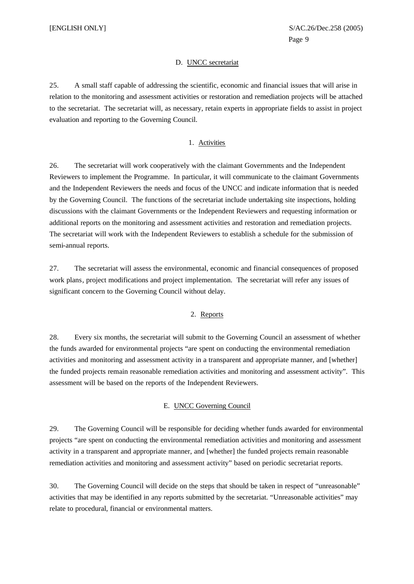#### D. UNCC secretariat

25. A small staff capable of addressing the scientific, economic and financial issues that will arise in relation to the monitoring and assessment activities or restoration and remediation projects will be attached to the secretariat. The secretariat will, as necessary, retain experts in appropriate fields to assist in project evaluation and reporting to the Governing Council.

## 1. Activities

26. The secretariat will work cooperatively with the claimant Governments and the Independent Reviewers to implement the Programme. In particular, it will communicate to the claimant Governments and the Independent Reviewers the needs and focus of the UNCC and indicate information that is needed by the Governing Council. The functions of the secretariat include undertaking site inspections, holding discussions with the claimant Governments or the Independent Reviewers and requesting information or additional reports on the monitoring and assessment activities and restoration and remediation projects. The secretariat will work with the Independent Reviewers to establish a schedule for the submission of semi-annual reports.

27. The secretariat will assess the environmental, economic and financial consequences of proposed work plans, project modifications and project implementation. The secretariat will refer any issues of significant concern to the Governing Council without delay.

# 2. Reports

28. Every six months, the secretariat will submit to the Governing Council an assessment of whether the funds awarded for environmental projects "are spent on conducting the environmental remediation activities and monitoring and assessment activity in a transparent and appropriate manner, and [whether] the funded projects remain reasonable remediation activities and monitoring and assessment activity". This assessment will be based on the reports of the Independent Reviewers.

### E. UNCC Governing Council

29. The Governing Council will be responsible for deciding whether funds awarded for environmental projects "are spent on conducting the environmental remediation activities and monitoring and assessment activity in a transparent and appropriate manner, and [whether] the funded projects remain reasonable remediation activities and monitoring and assessment activity" based on periodic secretariat reports.

30. The Governing Council will decide on the steps that should be taken in respect of "unreasonable" activities that may be identified in any reports submitted by the secretariat. "Unreasonable activities" may relate to procedural, financial or environmental matters.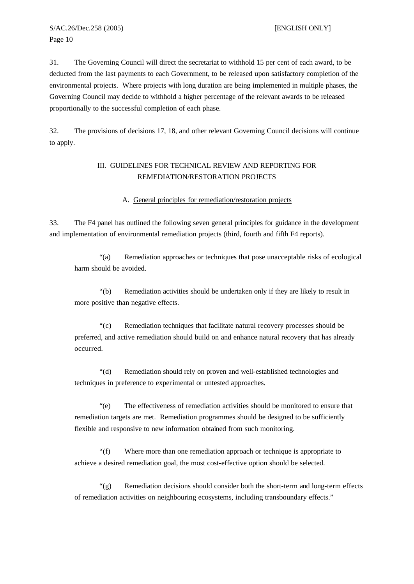31. The Governing Council will direct the secretariat to withhold 15 per cent of each award, to be deducted from the last payments to each Government, to be released upon satisfactory completion of the environmental projects. Where projects with long duration are being implemented in multiple phases, the Governing Council may decide to withhold a higher percentage of the relevant awards to be released proportionally to the successful completion of each phase.

32. The provisions of decisions 17, 18, and other relevant Governing Council decisions will continue to apply.

# III. GUIDELINES FOR TECHNICAL REVIEW AND REPORTING FOR REMEDIATION/RESTORATION PROJECTS

# A. General principles for remediation/restoration projects

33. The F4 panel has outlined the following seven general principles for guidance in the development and implementation of environmental remediation projects (third, fourth and fifth F4 reports).

"(a) Remediation approaches or techniques that pose unacceptable risks of ecological harm should be avoided.

"(b) Remediation activities should be undertaken only if they are likely to result in more positive than negative effects.

"(c) Remediation techniques that facilitate natural recovery processes should be preferred, and active remediation should build on and enhance natural recovery that has already occurred.

"(d) Remediation should rely on proven and well-established technologies and techniques in preference to experimental or untested approaches.

"(e) The effectiveness of remediation activities should be monitored to ensure that remediation targets are met. Remediation programmes should be designed to be sufficiently flexible and responsive to new information obtained from such monitoring.

"(f) Where more than one remediation approach or technique is appropriate to achieve a desired remediation goal, the most cost-effective option should be selected.

"(g) Remediation decisions should consider both the short-term and long-term effects of remediation activities on neighbouring ecosystems, including transboundary effects."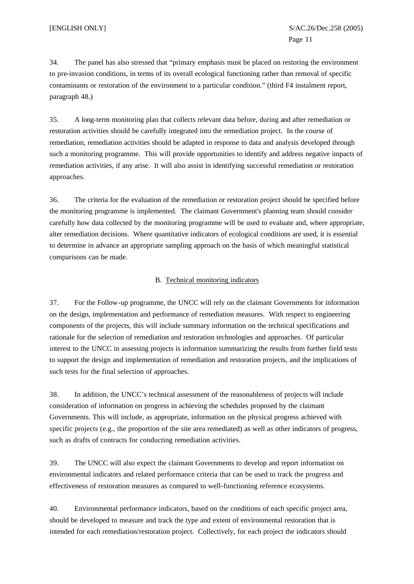34. The panel has also stressed that "primary emphasis must be placed on restoring the environment to pre-invasion conditions, in terms of its overall ecological functioning rather than removal of specific contaminants or restoration of the environment to a particular condition." (third F4 instalment report, paragraph 48.)

35. A long-term monitoring plan that collects relevant data before, during and after remediation or restoration activities should be carefully integrated into the remediation project. In the course of remediation, remediation activities should be adapted in response to data and analysis developed through such a monitoring programme. This will provide opportunities to identify and address negative impacts of remediation activities, if any arise. It will also assist in identifying successful remediation or restoration approaches.

36. The criteria for the evaluation of the remediation or restoration project should be specified before the monitoring programme is implemented. The claimant Government's planning team should consider carefully how data collected by the monitoring programme will be used to evaluate and, where appropriate, alter remediation decisions. Where quantitative indicators of ecological conditions are used, it is essential to determine in advance an appropriate sampling approach on the basis of which meaningful statistical comparisons can be made.

#### B. Technical monitoring indicators

37. For the Follow-up programme, the UNCC will rely on the claimant Governments for information on the design, implementation and performance of remediation measures. With respect to engineering components of the projects, this will include summary information on the technical specifications and rationale for the selection of remediation and restoration technologies and approaches. Of particular interest to the UNCC in assessing projects is information summarizing the results from further field tests to support the design and implementation of remediation and restoration projects, and the implications of such tests for the final selection of approaches.

38. In addition, the UNCC's technical assessment of the reasonableness of projects will include consideration of information on progress in achieving the schedules proposed by the claimant Governments. This will include, as appropriate, information on the physical progress achieved with specific projects (e.g., the proportion of the site area remediated) as well as other indicators of progress, such as drafts of contracts for conducting remediation activities.

39. The UNCC will also expect the claimant Governments to develop and report information on environmental indicators and related performance criteria that can be used to track the progress and effectiveness of restoration measures as compared to well-functioning reference ecosystems.

40. Environmental performance indicators, based on the conditions of each specific project area, should be developed to measure and track the type and extent of environmental restoration that is intended for each remediation/restoration project. Collectively, for each project the indicators should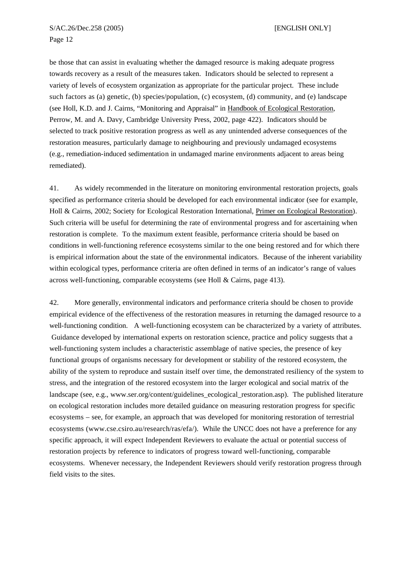be those that can assist in evaluating whether the damaged resource is making adequate progress towards recovery as a result of the measures taken. Indicators should be selected to represent a variety of levels of ecosystem organization as appropriate for the particular project. These include such factors as (a) genetic, (b) species/population, (c) ecosystem, (d) community, and (e) landscape (see Holl, K.D. and J. Cairns, "Monitoring and Appraisal" in Handbook of Ecological Restoration, Perrow, M. and A. Davy, Cambridge University Press, 2002, page 422). Indicators should be selected to track positive restoration progress as well as any unintended adverse consequences of the restoration measures, particularly damage to neighbouring and previously undamaged ecosystems (e.g., remediation-induced sedimentation in undamaged marine environments adjacent to areas being remediated).

41. As widely recommended in the literature on monitoring environmental restoration projects, goals specified as performance criteria should be developed for each environmental indicator (see for example, Holl & Cairns, 2002; Society for Ecological Restoration International, Primer on Ecological Restoration). Such criteria will be useful for determining the rate of environmental progress and for ascertaining when restoration is complete. To the maximum extent feasible, performance criteria should be based on conditions in well-functioning reference ecosystems similar to the one being restored and for which there is empirical information about the state of the environmental indicators. Because of the inherent variability within ecological types, performance criteria are often defined in terms of an indicator's range of values across well-functioning, comparable ecosystems (see Holl & Cairns, page 413).

42. More generally, environmental indicators and performance criteria should be chosen to provide empirical evidence of the effectiveness of the restoration measures in returning the damaged resource to a well-functioning condition. A well-functioning ecosystem can be characterized by a variety of attributes. Guidance developed by international experts on restoration science, practice and policy suggests that a well-functioning system includes a characteristic assemblage of native species, the presence of key functional groups of organisms necessary for development or stability of the restored ecosystem, the ability of the system to reproduce and sustain itself over time, the demonstrated resiliency of the system to stress, and the integration of the restored ecosystem into the larger ecological and social matrix of the landscape (see, e.g., www.ser.org/content/guidelines\_ecological\_restoration.asp). The published literature on ecological restoration includes more detailed guidance on measuring restoration progress for specific ecosystems – see, for example, an approach that was developed for monitoring restoration of terrestrial ecosystems (www.cse.csiro.au/research/ras/efa/). While the UNCC does not have a preference for any specific approach, it will expect Independent Reviewers to evaluate the actual or potential success of restoration projects by reference to indicators of progress toward well-functioning, comparable ecosystems. Whenever necessary, the Independent Reviewers should verify restoration progress through field visits to the sites.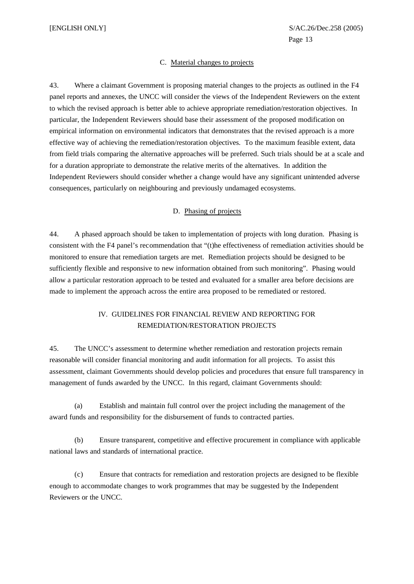#### C. Material changes to projects

43. Where a claimant Government is proposing material changes to the projects as outlined in the F4 panel reports and annexes, the UNCC will consider the views of the Independent Reviewers on the extent to which the revised approach is better able to achieve appropriate remediation/restoration objectives. In particular, the Independent Reviewers should base their assessment of the proposed modification on empirical information on environmental indicators that demonstrates that the revised approach is a more effective way of achieving the remediation/restoration objectives. To the maximum feasible extent, data from field trials comparing the alternative approaches will be preferred. Such trials should be at a scale and for a duration appropriate to demonstrate the relative merits of the alternatives. In addition the Independent Reviewers should consider whether a change would have any significant unintended adverse consequences, particularly on neighbouring and previously undamaged ecosystems.

#### D. Phasing of projects

44. A phased approach should be taken to implementation of projects with long duration. Phasing is consistent with the F4 panel's recommendation that "(t)he effectiveness of remediation activities should be monitored to ensure that remediation targets are met. Remediation projects should be designed to be sufficiently flexible and responsive to new information obtained from such monitoring". Phasing would allow a particular restoration approach to be tested and evaluated for a smaller area before decisions are made to implement the approach across the entire area proposed to be remediated or restored.

# IV. GUIDELINES FOR FINANCIAL REVIEW AND REPORTING FOR REMEDIATION/RESTORATION PROJECTS

45. The UNCC's assessment to determine whether remediation and restoration projects remain reasonable will consider financial monitoring and audit information for all projects. To assist this assessment, claimant Governments should develop policies and procedures that ensure full transparency in management of funds awarded by the UNCC. In this regard, claimant Governments should:

(a) Establish and maintain full control over the project including the management of the award funds and responsibility for the disbursement of funds to contracted parties.

(b) Ensure transparent, competitive and effective procurement in compliance with applicable national laws and standards of international practice.

(c) Ensure that contracts for remediation and restoration projects are designed to be flexible enough to accommodate changes to work programmes that may be suggested by the Independent Reviewers or the UNCC.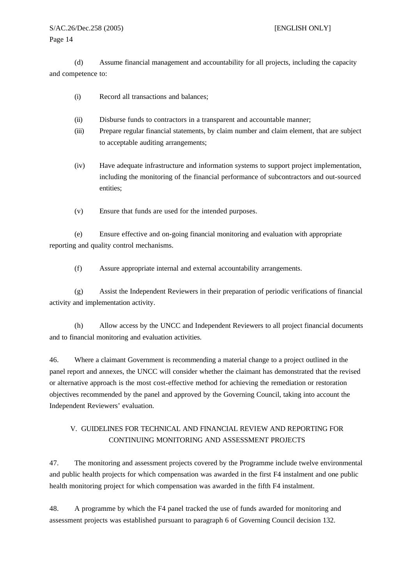(d) Assume financial management and accountability for all projects, including the capacity and competence to:

- (i) Record all transactions and balances;
- (ii) Disburse funds to contractors in a transparent and accountable manner;
- (iii) Prepare regular financial statements, by claim number and claim element, that are subject to acceptable auditing arrangements;
- (iv) Have adequate infrastructure and information systems to support project implementation, including the monitoring of the financial performance of subcontractors and out-sourced entities;
- (v) Ensure that funds are used for the intended purposes.

(e) Ensure effective and on-going financial monitoring and evaluation with appropriate reporting and quality control mechanisms.

(f) Assure appropriate internal and external accountability arrangements.

(g) Assist the Independent Reviewers in their preparation of periodic verifications of financial activity and implementation activity.

(h) Allow access by the UNCC and Independent Reviewers to all project financial documents and to financial monitoring and evaluation activities.

46. Where a claimant Government is recommending a material change to a project outlined in the panel report and annexes, the UNCC will consider whether the claimant has demonstrated that the revised or alternative approach is the most cost-effective method for achieving the remediation or restoration objectives recommended by the panel and approved by the Governing Council, taking into account the Independent Reviewers' evaluation.

# V. GUIDELINES FOR TECHNICAL AND FINANCIAL REVIEW AND REPORTING FOR CONTINUING MONITORING AND ASSESSMENT PROJECTS

47. The monitoring and assessment projects covered by the Programme include twelve environmental and public health projects for which compensation was awarded in the first F4 instalment and one public health monitoring project for which compensation was awarded in the fifth F4 instalment.

48. A programme by which the F4 panel tracked the use of funds awarded for monitoring and assessment projects was established pursuant to paragraph 6 of Governing Council decision 132.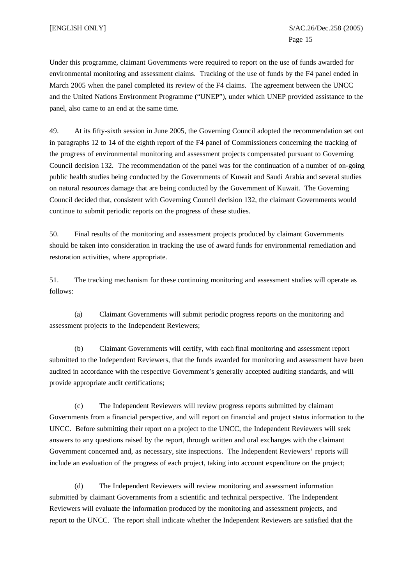Under this programme, claimant Governments were required to report on the use of funds awarded for environmental monitoring and assessment claims. Tracking of the use of funds by the F4 panel ended in March 2005 when the panel completed its review of the F4 claims. The agreement between the UNCC and the United Nations Environment Programme ("UNEP"), under which UNEP provided assistance to the panel, also came to an end at the same time.

49. At its fifty-sixth session in June 2005, the Governing Council adopted the recommendation set out in paragraphs 12 to 14 of the eighth report of the F4 panel of Commissioners concerning the tracking of the progress of environmental monitoring and assessment projects compensated pursuant to Governing Council decision 132. The recommendation of the panel was for the continuation of a number of on-going public health studies being conducted by the Governments of Kuwait and Saudi Arabia and several studies on natural resources damage that are being conducted by the Government of Kuwait. The Governing Council decided that, consistent with Governing Council decision 132, the claimant Governments would continue to submit periodic reports on the progress of these studies.

50. Final results of the monitoring and assessment projects produced by claimant Governments should be taken into consideration in tracking the use of award funds for environmental remediation and restoration activities, where appropriate.

51. The tracking mechanism for these continuing monitoring and assessment studies will operate as follows:

(a) Claimant Governments will submit periodic progress reports on the monitoring and assessment projects to the Independent Reviewers;

(b) Claimant Governments will certify, with each final monitoring and assessment report submitted to the Independent Reviewers, that the funds awarded for monitoring and assessment have been audited in accordance with the respective Government's generally accepted auditing standards, and will provide appropriate audit certifications;

(c) The Independent Reviewers will review progress reports submitted by claimant Governments from a financial perspective, and will report on financial and project status information to the UNCC. Before submitting their report on a project to the UNCC, the Independent Reviewers will seek answers to any questions raised by the report, through written and oral exchanges with the claimant Government concerned and, as necessary, site inspections. The Independent Reviewers' reports will include an evaluation of the progress of each project, taking into account expenditure on the project;

(d) The Independent Reviewers will review monitoring and assessment information submitted by claimant Governments from a scientific and technical perspective. The Independent Reviewers will evaluate the information produced by the monitoring and assessment projects, and report to the UNCC. The report shall indicate whether the Independent Reviewers are satisfied that the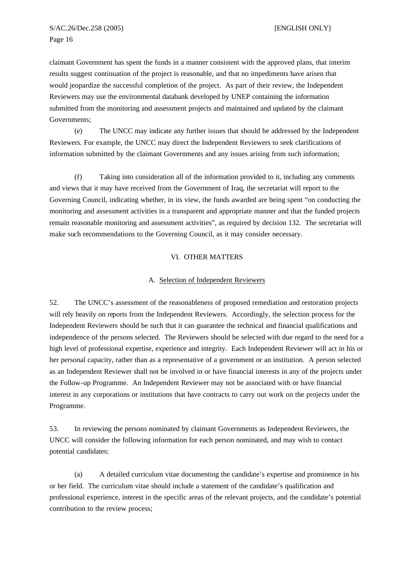claimant Government has spent the funds in a manner consistent with the approved plans, that interim results suggest continuation of the project is reasonable, and that no impediments have arisen that would jeopardize the successful completion of the project. As part of their review, the Independent Reviewers may use the environmental databank developed by UNEP containing the information submitted from the monitoring and assessment projects and maintained and updated by the claimant Governments;

(e) The UNCC may indicate any further issues that should be addressed by the Independent Reviewers. For example, the UNCC may direct the Independent Reviewers to seek clarifications of information submitted by the claimant Governments and any issues arising from such information;

(f) Taking into consideration all of the information provided to it, including any comments and views that it may have received from the Government of Iraq, the secretariat will report to the Governing Council, indicating whether, in its view, the funds awarded are being spent "on conducting the monitoring and assessment activities in a transparent and appropriate manner and that the funded projects remain reasonable monitoring and assessment activities", as required by decision 132. The secretariat will make such recommendations to the Governing Council, as it may consider necessary.

#### VI. OTHER MATTERS

#### A. Selection of Independent Reviewers

52. The UNCC's assessment of the reasonableness of proposed remediation and restoration projects will rely heavily on reports from the Independent Reviewers. Accordingly, the selection process for the Independent Reviewers should be such that it can guarantee the technical and financial qualifications and independence of the persons selected. The Reviewers should be selected with due regard to the need for a high level of professional expertise, experience and integrity. Each Independent Reviewer will act in his or her personal capacity, rather than as a representative of a government or an institution. A person selected as an Independent Reviewer shall not be involved in or have financial interests in any of the projects under the Follow-up Programme. An Independent Reviewer may not be associated with or have financial interest in any corporations or institutions that have contracts to carry out work on the projects under the Programme.

53. In reviewing the persons nominated by claimant Governments as Independent Reviewers, the UNCC will consider the following information for each person nominated, and may wish to contact potential candidates:

(a) A detailed curriculum vitae documenting the candidate's expertise and prominence in his or her field. The curriculum vitae should include a statement of the candidate's qualification and professional experience, interest in the specific areas of the relevant projects, and the candidate's potential contribution to the review process;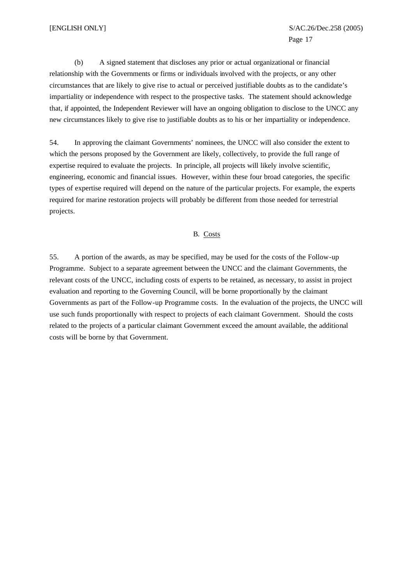(b) A signed statement that discloses any prior or actual organizational or financial relationship with the Governments or firms or individuals involved with the projects, or any other circumstances that are likely to give rise to actual or perceived justifiable doubts as to the candidate's impartiality or independence with respect to the prospective tasks. The statement should acknowledge that, if appointed, the Independent Reviewer will have an ongoing obligation to disclose to the UNCC any new circumstances likely to give rise to justifiable doubts as to his or her impartiality or independence.

54. In approving the claimant Governments' nominees, the UNCC will also consider the extent to which the persons proposed by the Government are likely, collectively, to provide the full range of expertise required to evaluate the projects. In principle, all projects will likely involve scientific, engineering, economic and financial issues. However, within these four broad categories, the specific types of expertise required will depend on the nature of the particular projects. For example, the experts required for marine restoration projects will probably be different from those needed for terrestrial projects.

#### B. Costs

55. A portion of the awards, as may be specified, may be used for the costs of the Follow-up Programme. Subject to a separate agreement between the UNCC and the claimant Governments, the relevant costs of the UNCC, including costs of experts to be retained, as necessary, to assist in project evaluation and reporting to the Governing Council, will be borne proportionally by the claimant Governments as part of the Follow-up Programme costs. In the evaluation of the projects, the UNCC will use such funds proportionally with respect to projects of each claimant Government. Should the costs related to the projects of a particular claimant Government exceed the amount available, the additional costs will be borne by that Government.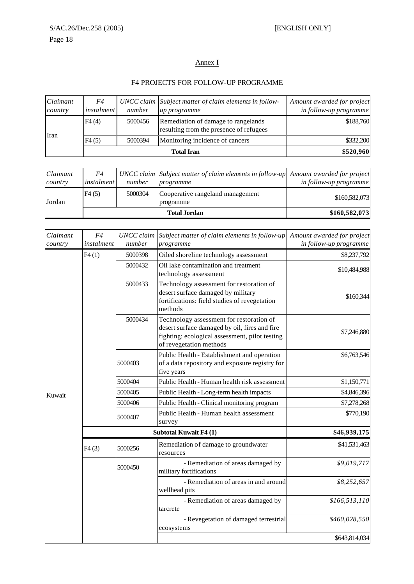## Annex I

# F4 PROJECTS FOR FOLLOW-UP PROGRAMME

| Claimant<br>country | F4<br>instalment | number  | UNCC claim Subject matter of claim elements in follow-<br>up programme         | Amount awarded for project<br>in follow-up programme |
|---------------------|------------------|---------|--------------------------------------------------------------------------------|------------------------------------------------------|
| Iran                | F4(4)            | 5000456 | Remediation of damage to rangelands<br>resulting from the presence of refugees | \$188,760                                            |
|                     | F4(5)            | 5000394 | Monitoring incidence of cancers                                                | \$332,200                                            |
|                     |                  |         | \$520,960                                                                      |                                                      |

| Claimant<br>country | F4<br>instalment    | number  | UNCC claim Subject matter of claim elements in follow-up Amount awarded for project<br>programme | in follow-up programme |
|---------------------|---------------------|---------|--------------------------------------------------------------------------------------------------|------------------------|
| Jordan              | F4(5)               | 5000304 | Cooperative rangeland management<br>programme                                                    | \$160,582,073          |
|                     | <b>Total Jordan</b> |         |                                                                                                  | \$160,582,073          |

| Claimant<br>country | F4<br>instalment | number                        | UNCC claim Subject matter of claim elements in follow-up<br>programme                                                                                                  | Amount awarded for project<br>in follow-up programme |
|---------------------|------------------|-------------------------------|------------------------------------------------------------------------------------------------------------------------------------------------------------------------|------------------------------------------------------|
|                     | F4(1)            | 5000398                       | Oiled shoreline technology assessment                                                                                                                                  | \$8,237,792                                          |
|                     |                  | 5000432                       | Oil lake contamination and treatment<br>technology assessment                                                                                                          | \$10,484,988                                         |
|                     |                  | 5000433                       | Technology assessment for restoration of<br>desert surface damaged by military<br>fortifications: field studies of revegetation<br>methods                             | \$160,344                                            |
|                     |                  | 5000434                       | Technology assessment for restoration of<br>desert surface damaged by oil, fires and fire<br>fighting: ecological assessment, pilot testing<br>of revegetation methods | \$7,246,880                                          |
|                     |                  | 5000403                       | Public Health - Establishment and operation<br>of a data repository and exposure registry for<br>five years                                                            | \$6,763,546                                          |
|                     |                  | 5000404                       | Public Health - Human health risk assessment                                                                                                                           | \$1,150,771                                          |
| Kuwait              |                  | 5000405                       | Public Health - Long-term health impacts                                                                                                                               | \$4,846,396                                          |
|                     |                  | 5000406                       | Public Health - Clinical monitoring program                                                                                                                            | \$7,278,268                                          |
|                     |                  | 5000407                       | Public Health - Human health assessment<br>survey                                                                                                                      | \$770,190                                            |
|                     |                  | <b>Subtotal Kuwait F4 (1)</b> | \$46,939,175                                                                                                                                                           |                                                      |
|                     | F4(3)            | 5000256                       | Remediation of damage to groundwater<br>resources                                                                                                                      | \$41,531,463                                         |
|                     |                  | 5000450                       | - Remediation of areas damaged by<br>military fortifications                                                                                                           | \$9,019,717                                          |
|                     |                  |                               | - Remediation of areas in and around<br>wellhead pits                                                                                                                  | \$8,252,657                                          |
|                     |                  |                               | - Remediation of areas damaged by<br>tarcrete                                                                                                                          | \$166,513,110                                        |
|                     |                  |                               | - Revegetation of damaged terrestrial<br>ecosystems                                                                                                                    | \$460,028,550                                        |
|                     |                  |                               |                                                                                                                                                                        | \$643,814,034                                        |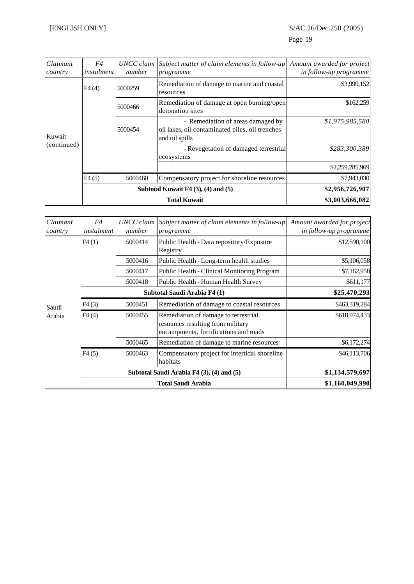| Claimant<br>country   | F4<br>instalment | <b>UNCC</b> claim<br>number                | Subject matter of claim elements in follow-up<br>programme                                             | Amount awarded for project<br>in follow-up programme |
|-----------------------|------------------|--------------------------------------------|--------------------------------------------------------------------------------------------------------|------------------------------------------------------|
| Kuwait<br>(continued) | F4(4)            | 5000259                                    | Remediation of damage to marine and coastal<br>resources                                               | \$3,990,152                                          |
|                       |                  | 5000466                                    | Remediation of damage at open burning/open<br>detonation sites                                         | \$162,259                                            |
|                       |                  | 5000454                                    | - Remediation of areas damaged by<br>oil lakes, oil-contaminated piles, oil trenches<br>and oil spills | \$1,975,985,580                                      |
|                       |                  |                                            | - Revegetation of damaged terrestrial<br>ecosystems                                                    | \$283,300,389                                        |
|                       |                  |                                            |                                                                                                        | \$2,259,285,969                                      |
|                       | F4(5)            | 5000460                                    | Compensatory project for shoreline resources                                                           | \$7,943,030                                          |
|                       |                  | Subtotal Kuwait F4 $(3)$ , $(4)$ and $(5)$ | \$2,956,726,907                                                                                        |                                                      |
|                       |                  |                                            | \$3,003,666,082                                                                                        |                                                      |

| Claimant<br>country | F4<br>instalment | <b>UNCC</b> claim<br>number               | Subject matter of claim elements in follow-up<br>programme                                                         | Amount awarded for project<br>in follow-up programme |
|---------------------|------------------|-------------------------------------------|--------------------------------------------------------------------------------------------------------------------|------------------------------------------------------|
|                     | F4(1)            | 5000414                                   | Public Health - Data repository/Exposure<br>Registry                                                               | \$12,590,100                                         |
|                     |                  | 5000416                                   | Public Health - Long-term health studies                                                                           | \$5,106,058                                          |
|                     |                  | 5000417                                   | Public Health - Clinical Monitoring Program                                                                        | \$7,162,958                                          |
|                     |                  | 5000418                                   | Public Health - Human Health Survey                                                                                | \$611,177                                            |
| Saudi<br>Arabia     |                  | Subtotal Saudi Arabia F4 (1)              | \$25,470,293                                                                                                       |                                                      |
|                     | F4(3)            | 5000451                                   | Remediation of damage to coastal resources                                                                         | \$463,319,284                                        |
|                     | F4(4)            | 5000455                                   | Remediation of damage to terrestrial<br>resources resulting from military<br>encampments, fortifications and roads | \$618,974,433                                        |
|                     |                  | 5000465                                   | Remediation of damage to marine resources                                                                          | \$6,172,274                                          |
|                     | F4(5)            | 5000463                                   | Compensatory project for intertidal shoreline<br>habitats                                                          | \$46,113,706                                         |
|                     |                  | Subtotal Saudi Arabia F4 (3), (4) and (5) | \$1,134,579,697                                                                                                    |                                                      |
|                     |                  | <b>Total Saudi Arabia</b>                 | \$1,160,049,990                                                                                                    |                                                      |